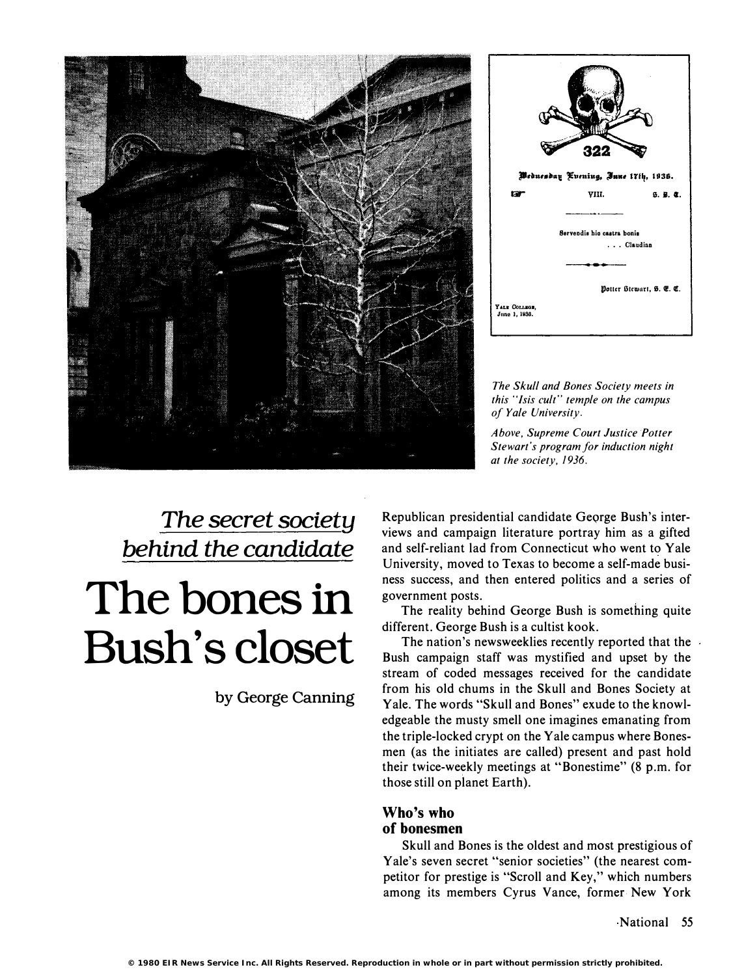



The Skull and Bones Society meets in this "Isis cult" temple on the campus of Yale University.

Above, Supreme Court Justice Potter Stewart's program for induction night at the society, 1936.

### The secret society behind the candidate

# The bones in Bush's closet

by George Canning

Republican presidential candidate George Bush's interviews and campaign literature portray him as a gifted and self-reliant lad from Connecticut who went to Yale University, moved to Texas to become a self-made business success, and then entered politics and a series of government posts.

The reality behind George Bush is something quite different. George Bush is a cultist kook.

The nation's newsweeklies recently reported that the Bush campaign staff was mystified and upset by the stream of coded messages received for the candidate from his old chums in the Skull and Bones Society at Yale. The words "Skull and Bones" exude to the knowledgeable the musty smell one imagines emanating from the triple-locked crypt on the Yale campus where Bonesmen (as the initiates are called) present and past hold their twice-weekly meetings at "Bonestime" (8 p.m. for those still on planet Earth).

#### Who's who of bonesmen

Skull and Bones is the oldest and most prestigious of Yale's seven secret "senior societies" (the nearest competitor for prestige is "Scroll and Key," which numbers among its members Cyrus Vance, former· New York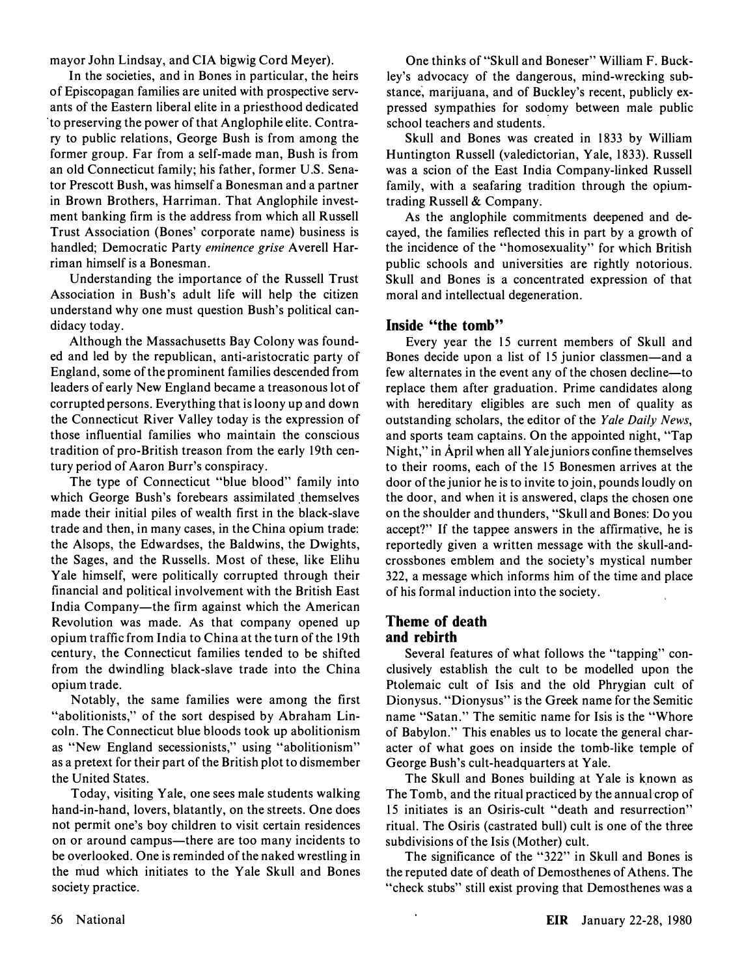mayor John Lindsay, and CIA bigwig Cord Meyer).

In the societies, and in Bones in particular, the heirs of Episcopagan families are united with prospective servants of the Eastern liberal elite in a priesthood dedicated to preserving the power of that Anglophile elite. Contrary to public relations, George Bush is from among the former group. Far from a self-made man, Bush is from an old Connecticut family; his father, former U.S. Senator Prescott Bush, was himself a Bonesman and a partner in Brown Brothers, Harriman. That Anglophile investment banking firm is the address from which all Russell Trust Association (Bones' corporate name) business is handled; Democratic Party eminence grise Averell Harriman himself is a Bonesman.

Understanding the importance of the Russell Trust Association in Bush's adult life will help the citizen understand why one must question Bush's political candidacy today.

Although the Massachusetts Bay Colony was founded and led by the republican, anti-aristocratic party of England, some of the prominent families descended from leaders of early New England became a treasonous lot of corrupted persons. Everything that is loony up and down the Connecticut River Valley today is the expression of those influential families who maintain the conscious tradition of pro-British treason from the early 19th century period of Aaron Burr's conspiracy.

The type of Connecticut "blue blood" family into which George Bush's forebears assimilated themselves made their initial piles of wealth first in the black-slave trade and then, in many cases, in the China opium trade: the Alsops, the Edwardses, the Baldwins, the Dwights, the Sages, and the Russells. Most of these, like Elihu Yale himself, were politically corrupted through their financial and political involvement with the British East India Company-the firm against which the American Revolution was made. As that company opened up opium traffic from India to China at the turn of the 19th century, the Connecticut families tended to be shifted from the dwindling black-slave trade into the China opium trade.

Notably, the same families were among the first "abolitionists," of the sort despised by Abraham Lincoln. The Connecticut blue bloods took up abolitionism as "New England secessionists," using "abolitionism" as a pretext for their part of the British plot to dismember the United States.

Today, visiting Yale, one sees male students walking hand-in-hand, lovers, blatantly, on the streets. One does not permit one's boy children to visit certain residences on or around campus—there are too many incidents to be overlooked. One is reminded of the naked wrestling in the mud which initiates to the Yale Skull and Bones society practice.

One thinks of "Skull and Boneser" William F. Buckley's advocacy of the dangerous, mind-wrecking substance, marijuana, and of Buckley's recent, publicly expressed sympathies for sodomy between male public school teachers and students.

Skull and Bones was created in 1833 by William Huntington Russell (yaledictorian, Yale, 1833). Russell was a scion of the East India Company-linked Russell family, with a seafaring tradition through the opiumtrading Russell & Company.

As the anglophile commitments deepened and decayed, the families reflected this in part by a growth of the incidence of the "homosexuality" for which British public schools and universities are rightly notorious. Skull and Bones is a concentrated expression of that moral and intellectual degeneration.

#### Inside "the tomb"

Every year the 15 current members of Skull and Bones decide upon a list of 15 junior classmen—and a few alternates in the event any of the chosen decline—to replace them after graduation. Prime candidates along with hereditary eligibles are such men of quality as outstanding scholars, the editor of the Yale Daily News, and sports team captains. On the appointed night, "Tap Night," in April when all Yale juniors confine themselves to their rooms, each of the 15 Bonesmen arrives at the door of the junior he is to invite to join, pounds loudly on the door, and when it is answered, claps the chosen one on the shoulder and thunders, "Skull and Bones: Do you accept?" If the tappee answers in the affirmative, he is reportedly given a written message with the skull-andcrossbones emblem and the society's mystical number 322, a message which informs him of the time and place of his formal induction into the society.

#### Theme of death and rebirth

Several features of what follows the "tapping" conclusively establish the cult to be modelled upon the Ptolemaic cult of Isis and the old Phrygian cult of Dionysus. "Dionysus" is the Greek name for the Semitic name "Satan." The semitic name for Isis is the "Whore of Babylon." This enables us to locate the general character of what goes on inside the tomb-like temple of George Bush's cult-headquarters at Yale.

The Skull and Bones building at Yale is known as The Tomb, and the ritual practiced by the annual crop of 15 initiates is an Osiris-cult "death and resurrection" ritual. The Osiris (castrated bull) cult is one of the three subdivisions of the Isis (Mother) cult.

The significance of the "322" in Skull and Bones is the reputed date of death of Demosthenes of Athens. The "check stubs" still exist proving that Demosthenes was a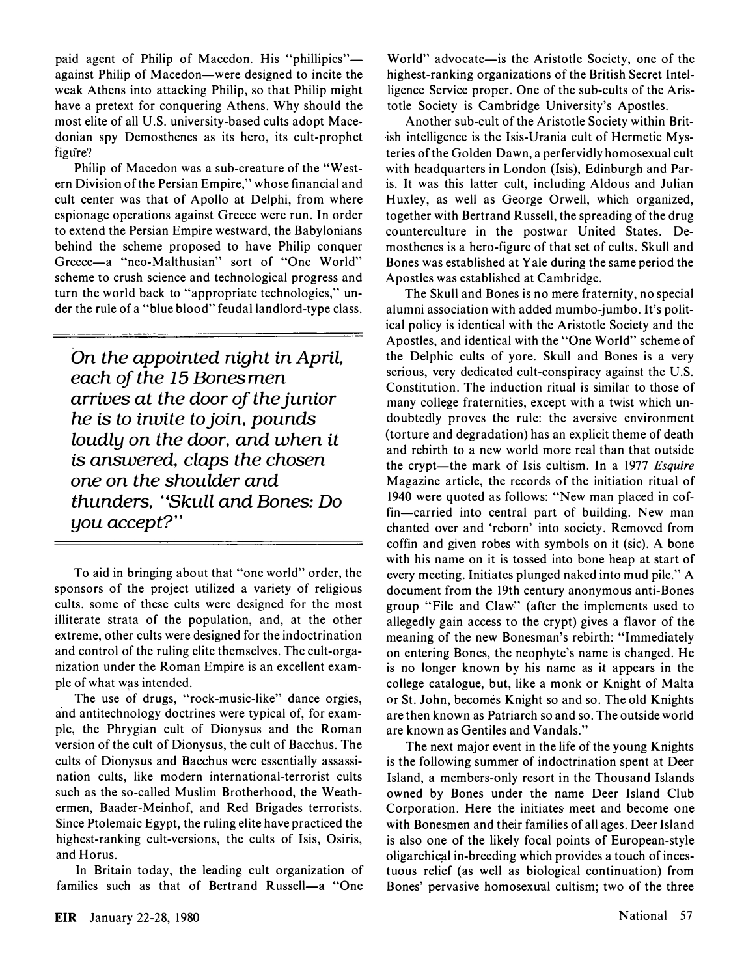paid agent of Philip of Macedon. His "phillipics"against Philip of Macedon-were designed to incite the weak Athens into attacking Philip, so that Philip might have a pretext for conquering Athens. Why should the most elite of all U.S. university-based cults adopt Macedonian spy Demosthenes as its hero, its cult-prophet figure?

Philip of Macedon was a sub-creature of the "Western Division of the Persian Empire," whose financial and cult center was that of Apollo at Delphi, from where espionage operations against Greece were run. In order to extend the Persian Empire westward, the Babylonians behind the scheme proposed to have Philip conquer Greece-a "neo-Malthusian" sort of "One World" scheme to crush science and technological progress and turn the world back to "appropriate technologies," under the rule of a "blue blood" feudal landlord-type class.

On the appointed night in April, each of the 15 Bones men arrives at the door of the junior he is to invite to join, pounds loudly on the door, and when it is answered, claps the chosen one on the shoulder and thunders, "Skull and Bones: Do you accept?"

To aid in bringing about that "one world" order, the sponsors of the project utilized a variety of religious cults. some of these cults were designed for the most illiterate strata of the population, and, at the other extreme, other cults were designed for the indoctrination and control of the ruling elite themselves. The cult-organization under the Roman Empire is an excellent example of what was intended.

The use of drugs, "rock-music-like" dance orgies, and antitechnology doctrines were typical of, for example, the Phrygian cult of Dionysus and the Roman version of the cult of Dionysus, the cult of Bacchus. The cults of Dionysus and Bacchus were essentially assassination cults, like modern international-terrorist cults such as the so-called Muslim Brotherhood, the Weathermen, Baader-Meinhof, and Red Brigades terrorists. Since Ptolemaic Egypt, the ruling elite have practiced the highest-ranking cult-versions, the cults of Isis, Osiris, and Horus.

In Britain today, the leading cult organization of families such as that of Bertrand Russell-a "One World" advocate—is the Aristotle Society, one of the highest-ranking organizations of the British Secret Intelligence Service proper. One of the sub-cults of the Aristotle Society is Cambridge University's Apostles.

Another sub-cult of the Aristotle Society within British intelligence is the Isis-Urania cult of Hermetic Mysteries of the Golden Dawn, a per fervidly homosexual cult with headquarters in London (Isis), Edinburgh and Paris. It was this latter cult, including Aldous and Julian Huxley, as well as George Orwell, which organized, together with Bertrand Russell, the spreading of the drug counterculture in the postwar United States. Demosthenes is a hero-figure of that set of cults. Skull and Bones was established at Yale during the same period the Apostles was established at Cambridge.

The Skull and Bones is no mere fraternity, no special alumni association with added mumbo-jumbo. It's political policy is identical with the Aristotle Society and the Apostles, and identical with the "One World" scheme of the Delphic cults of yore. Skull and Bones is a very serious, very dedicated cult-conspiracy against the U.S. Constitution. The induction ritual is similar to those of many college fraternities, except with a twist which undoubtedly proves the rule: the aversive environment (torture and degradation) has an explicit theme of death and rebirth to a new world more real than that outside the crypt—the mark of Isis cultism. In a 1977 Esquire Magazine article, the records of the initiation ritual of 1940 were quoted as follows: "New man placed in coffin-carried into central part of building. New man chanted over and 'reborn' into society. Removed from coffin and given robes with symbols on it (sic). A bone with his name on it is tossed into bone heap at start of every meeting. Initiates plunged naked into mud pile." A document from the 19th century anonymous anti-Bones group "File and Claw" (after the implements used to allegedly gain access to the crypt) gives a flavor of the meaning of the new Bonesman's rebirth: "Immediately on entering Bones, the neophyte's name is changed. He is no longer known by his name as it appears in the college catalogue, but, like a monk or Knight of Malta or St. John, becomes Knight so and so. The old Knights are then known as Patriarch so and so. The outside world are known as Gentiles and Vandals."

The next major event in the life of the young Knights is the following summer of indoctrination spent at Deer Island, a members-only resort in the Thousand Islands owned by Bones under the name Deer Island Club Corporation. Here the initiates meet and become one with Bonesmen and their families of all ages. Deer Island is also one of the likely focal points of European-style oligarchical in-breeding which provides a touch of incestuous relief (as well as biological continuation) from Bones' pervasive homosexual cultism; two of the three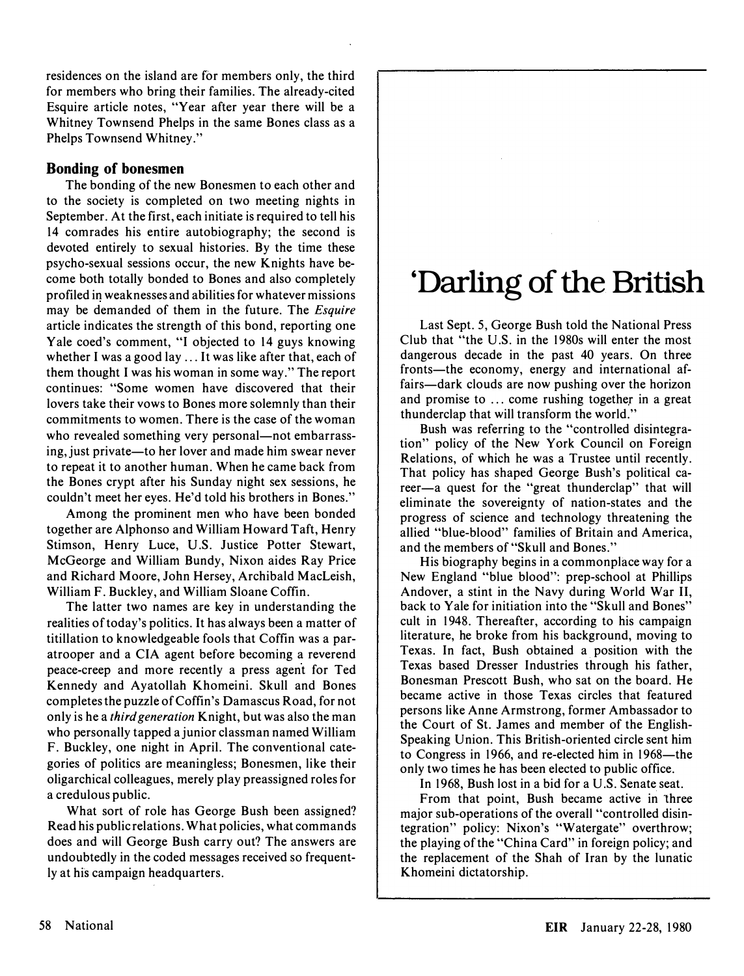residences on the island are for members only, the third for members who bring their families. The already-cited Esquire article notes, "Year after year there will be a Whitney Townsend Phelps in the same Bones class as a Phelps Townsend Whitney."

#### Bonding of bonesmen

The bonding of the new Bonesmen to each other and to the society is completed on two meeting nights in September. At the first, each initiate is required to tell his 14 comrades his entire autobiography; the second is devoted entirely to sexual histories. By the time these psycho-sexual sessions occur, the new Knights have become both totally bonded to Bones and also completely profiled in weaknesses and abilities for whatever missions may be demanded of them in the future. The *Esquire* article indicates the strength of this bond, reporting one Yale coed's comment, "I objected to 14 guys knowing whether I was a good lay ... It was like after that, each of them thought I was his woman in some way." The report continues: "Some women have discovered that their lovers take their vows to Bones more solemnly than their commitments to women. There is the case of the woman who revealed something very personal—not embarrassing, just private—to her lover and made him swear never to repeat it to another human. When he came back from the Bones crypt after his Sunday night sex sessions, he couldn't meet her eyes. He'd told his brothers in Bones."

Among the prominent men who have been bonded together are Alphonso and William Howard Taft, Henry Stimson, Henry Luce, V.S. Justice Potter Stewart, McGeorge and William Bundy, Nixon aides Ray Price and Richard Moore, John Hersey, Archibald MacLeish, William F. Buckley, and William Sloane Coffin.

The latter two names are key in understanding the realities of today's politics. It has always been a matter of titillation to knowledgeable fools that Coffin was a paratrooper and a CIA agent before becoming a reverend peace-creep and more recently a press agent for Ted Kennedy and Ayatollah Khomeini. Skull and Bones completes the puzzle of Coffin's Damascus Road, for not only is he a *third generation* Knight, but was also the man who personally tapped a junior classman named William F. Buckley, one night in April. The conventional categories of politics are meaningless; Bonesmen, like their oligarchical colleagues, merely play preassigned roles for a credulous public.

What sort of role has George Bush been assigned? Read his public relations. What policies, what commands does and will George Bush carry out? The answers are undoubtedly in the coded messages received so frequently at his campaign headquarters.

# 'Darling of the British

Last Sept. 5, George Bush told the National Press Club that "the V.S. in the 1980s will enter the most dangerous decade in the past 40 years. On three fronts—the economy, energy and international affairs—dark clouds are now pushing over the horizon and promise to ... come rushing together in a great thunderclap that will transform the world."

Bush was referring to the "controlled disintegration" policy of the New York Council on Foreign Relations, of which he was a Trustee until recently. That policy has shaped George Bush's political career-a quest for the "great thunderclap" that will eliminate the sovereignty of nation-states and the progress of science and technology threatening the allied "blue-blood" families of Britain and America, and the members of "Skull and Bones."

His biography begins in a commonplace way for a New England "blue blood": prep-school at Phillips Andover, a stint in the Navy during World War II, back to Yale for initiation into the "Skull and Bones" cult in 1948. Thereafter, according to his campaign literature, he broke from his background, moving to Texas. In fact, Bush obtained a position with the Texas based Dresser Industries through his father, Bonesman Prescott Bush, who sat on the board. He became active in those Texas circles that featured persons like Anne Armstrong, former Ambassador to the Court of St. James and member of the English-Speaking Vnion. This British-oriented circle sent him to Congress in 1966, and re-elected him in 1968—the only two times he has been elected to public office.

In 1968, Bush lost in a bid for a U.S. Senate seat.

From that point, Bush became active in three major sub-operations of the overall "controlled disintegration" policy: Nixon's "Watergate" overthrow; the playing of the "China Card" in foreign policy; and the replacement of the Shah of Iran by the lunatic Khomeini dictatorship.